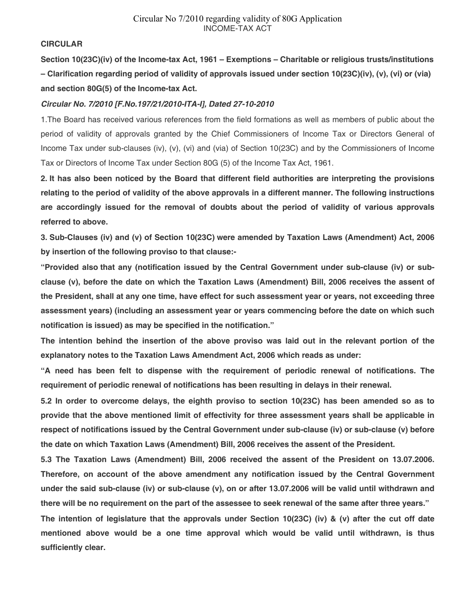## **CIRCULAR**

**Section 10(23C)(iv) of the Income-tax Act, 1961 – Exemptions – Charitable or religious trusts/institutions – Clarification regarding period of validity of approvals issued under section 10(23C)(iv), (v), (vi) or (via) and section 80G(5) of the Income-tax Act.** 

## *Circular No. 7/2010 [F.No.197/21/2010-ITA-I], Dated 27-10-2010*

1.The Board has received various references from the field formations as well as members of public about the period of validity of approvals granted by the Chief Commissioners of Income Tax or Directors General of Income Tax under sub-clauses (iv), (v), (vi) and (via) of Section 10(23C) and by the Commissioners of Income Tax or Directors of Income Tax under Section 80G (5) of the Income Tax Act, 1961.

**2. It has also been noticed by the Board that different field authorities are interpreting the provisions relating to the period of validity of the above approvals in a different manner. The following instructions are accordingly issued for the removal of doubts about the period of validity of various approvals referred to above.** 

**3. Sub-Clauses (iv) and (v) of Section 10(23C) were amended by Taxation Laws (Amendment) Act, 2006 by insertion of the following proviso to that clause:-** 

**"Provided also that any (notification issued by the Central Government under sub-clause (iv) or subclause (v), before the date on which the Taxation Laws (Amendment) Bill, 2006 receives the assent of the President, shall at any one time, have effect for such assessment year or years, not exceeding three assessment years) (including an assessment year or years commencing before the date on which such notification is issued) as may be specified in the notification."** 

**The intention behind the insertion of the above proviso was laid out in the relevant portion of the explanatory notes to the Taxation Laws Amendment Act, 2006 which reads as under:** 

**"A need has been felt to dispense with the requirement of periodic renewal of notifications. The requirement of periodic renewal of notifications has been resulting in delays in their renewal.** 

**5.2 In order to overcome delays, the eighth proviso to section 10(23C) has been amended so as to provide that the above mentioned limit of effectivity for three assessment years shall be applicable in respect of notifications issued by the Central Government under sub-clause (iv) or sub-clause (v) before the date on which Taxation Laws (Amendment) Bill, 2006 receives the assent of the President.** 

**5.3 The Taxation Laws (Amendment) Bill, 2006 received the assent of the President on 13.07.2006. Therefore, on account of the above amendment any notification issued by the Central Government under the said sub-clause (iv) or sub-clause (v), on or after 13.07.2006 will be valid until withdrawn and there will be no requirement on the part of the assessee to seek renewal of the same after three years."** 

**The intention of legislature that the approvals under Section 10(23C) (iv) & (v) after the cut off date mentioned above would be a one time approval which would be valid until withdrawn, is thus sufficiently clear.**